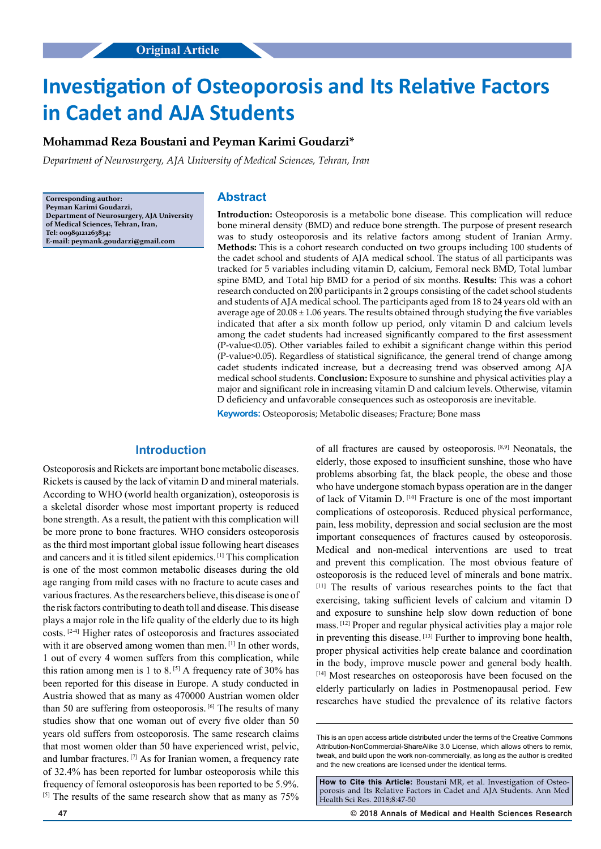# **Investigation of Osteoporosis and Its Relative Factors in Cadet and AJA Students**

#### **Mohammad Reza Boustani and Peyman Karimi Goudarzi\***

*Department of Neurosurgery, AJA University of Medical Sciences, Tehran, Iran*

**Corresponding author: Peyman Karimi Goudarzi, Department of Neurosurgery, AJA University of Medical Sciences, Tehran, Iran, Tel: 00989121263834; E-mail: peymank.goudarzi@gmail.com**

## **Abstract**

**Introduction:** Osteoporosis is a metabolic bone disease. This complication will reduce bone mineral density (BMD) and reduce bone strength. The purpose of present research was to study osteoporosis and its relative factors among student of Iranian Army. **Methods:** This is a cohort research conducted on two groups including 100 students of the cadet school and students of AJA medical school. The status of all participants was tracked for 5 variables including vitamin D, calcium, Femoral neck BMD, Total lumbar spine BMD, and Total hip BMD for a period of six months. **Results:** This was a cohort research conducted on 200 participants in 2 groups consisting of the cadet school students and students of AJA medical school. The participants aged from 18 to 24 years old with an average age of  $20.08 \pm 1.06$  years. The results obtained through studying the five variables indicated that after a six month follow up period, only vitamin D and calcium levels among the cadet students had increased significantly compared to the first assessment (P-value<0.05). Other variables failed to exhibit a significant change within this period (P-value>0.05). Regardless of statistical significance, the general trend of change among cadet students indicated increase, but a decreasing trend was observed among AJA medical school students. **Conclusion:** Exposure to sunshine and physical activities play a major and significant role in increasing vitamin D and calcium levels. Otherwise, vitamin D deficiency and unfavorable consequences such as osteoporosis are inevitable.

**Keywords:** Osteoporosis; Metabolic diseases; Fracture; Bone mass

## **Introduction**

Osteoporosis and Rickets are important bone metabolic diseases. Rickets is caused by the lack of vitamin D and mineral materials. According to WHO (world health organization), osteoporosis is a skeletal disorder whose most important property is reduced bone strength. As a result, the patient with this complication will be more prone to bone fractures. WHO considers osteoporosis as the third most important global issue following heart diseases and cancers and it is titled silent epidemics. [1] This complication is one of the most common metabolic diseases during the old age ranging from mild cases with no fracture to acute cases and various fractures. As the researchers believe, this disease is one of the risk factors contributing to death toll and disease. This disease plays a major role in the life quality of the elderly due to its high costs. [2-4] Higher rates of osteoporosis and fractures associated with it are observed among women than men. [1] In other words, 1 out of every 4 women suffers from this complication, while this ration among men is 1 to 8.  $[5]$  A frequency rate of 30% has been reported for this disease in Europe. A study conducted in Austria showed that as many as 470000 Austrian women older than 50 are suffering from osteoporosis. <sup>[6]</sup> The results of many studies show that one woman out of every five older than 50 years old suffers from osteoporosis. The same research claims that most women older than 50 have experienced wrist, pelvic, and lumbar fractures. [7] As for Iranian women, a frequency rate of 32.4% has been reported for lumbar osteoporosis while this frequency of femoral osteoporosis has been reported to be 5.9%. <sup>[5]</sup> The results of the same research show that as many as  $75\%$  of all fractures are caused by osteoporosis. [8,9] Neonatals, the elderly, those exposed to insufficient sunshine, those who have problems absorbing fat, the black people, the obese and those who have undergone stomach bypass operation are in the danger of lack of Vitamin D. [10] Fracture is one of the most important complications of osteoporosis. Reduced physical performance, pain, less mobility, depression and social seclusion are the most important consequences of fractures caused by osteoporosis. Medical and non-medical interventions are used to treat and prevent this complication. The most obvious feature of osteoporosis is the reduced level of minerals and bone matrix. [11] The results of various researches points to the fact that exercising, taking sufficient levels of calcium and vitamin D and exposure to sunshine help slow down reduction of bone mass. [12] Proper and regular physical activities play a major role in preventing this disease. [13] Further to improving bone health, proper physical activities help create balance and coordination in the body, improve muscle power and general body health. [14] Most researches on osteoporosis have been focused on the elderly particularly on ladies in Postmenopausal period. Few researches have studied the prevalence of its relative factors

**47 © 2018 Annals of Medical and Health Sciences Research** 

This is an open access article distributed under the terms of the Creative Commons Attribution-NonCommercial-ShareAlike 3.0 License, which allows others to remix, tweak, and build upon the work non‑commercially, as long as the author is credited and the new creations are licensed under the identical terms.

How to Cite this Article: Boustani MR, et al. Investigation of Osteoporosis and Its Relative Factors in Cadet and AJA Students. Ann Med Health Sci Res. 2018;8:47-50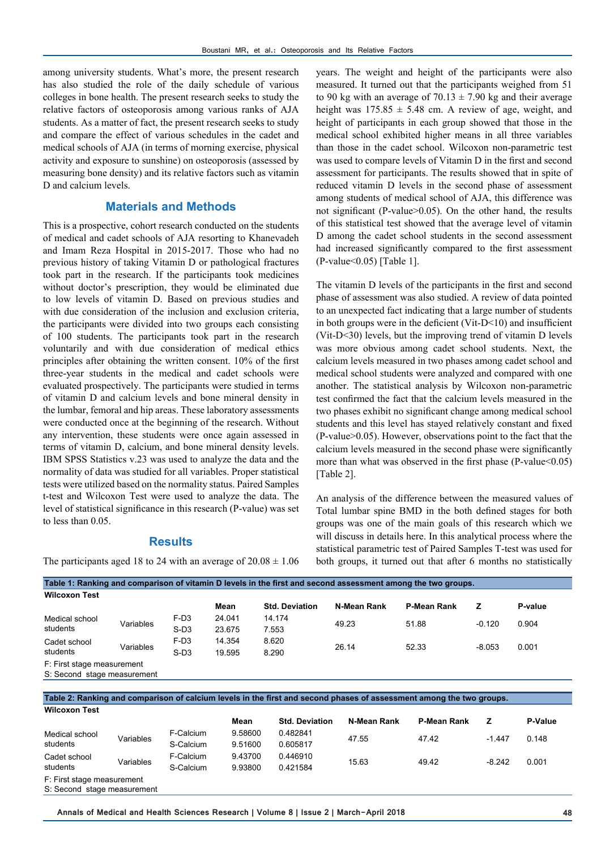among university students. What's more, the present research has also studied the role of the daily schedule of various colleges in bone health. The present research seeks to study the relative factors of osteoporosis among various ranks of AJA students. As a matter of fact, the present research seeks to study and compare the effect of various schedules in the cadet and medical schools of AJA (in terms of morning exercise, physical activity and exposure to sunshine) on osteoporosis (assessed by measuring bone density) and its relative factors such as vitamin D and calcium levels.

## **Materials and Methods**

This is a prospective, cohort research conducted on the students of medical and cadet schools of AJA resorting to Khanevadeh and Imam Reza Hospital in 2015-2017. Those who had no previous history of taking Vitamin D or pathological fractures took part in the research. If the participants took medicines without doctor's prescription, they would be eliminated due to low levels of vitamin D. Based on previous studies and with due consideration of the inclusion and exclusion criteria, the participants were divided into two groups each consisting of 100 students. The participants took part in the research voluntarily and with due consideration of medical ethics principles after obtaining the written consent. 10% of the first three-year students in the medical and cadet schools were evaluated prospectively. The participants were studied in terms of vitamin D and calcium levels and bone mineral density in the lumbar, femoral and hip areas. These laboratory assessments were conducted once at the beginning of the research. Without any intervention, these students were once again assessed in terms of vitamin D, calcium, and bone mineral density levels. IBM SPSS Statistics v.23 was used to analyze the data and the normality of data was studied for all variables. Proper statistical tests were utilized based on the normality status. Paired Samples t-test and Wilcoxon Test were used to analyze the data. The level of statistical significance in this research (P-value) was set to less than 0.05.

#### **Results**

The participants aged 18 to 24 with an average of  $20.08 \pm 1.06$ 

years. The weight and height of the participants were also measured. It turned out that the participants weighed from 51 to 90 kg with an average of  $70.13 \pm 7.90$  kg and their average height was  $175.85 \pm 5.48$  cm. A review of age, weight, and height of participants in each group showed that those in the medical school exhibited higher means in all three variables than those in the cadet school. Wilcoxon non-parametric test was used to compare levels of Vitamin D in the first and second assessment for participants. The results showed that in spite of reduced vitamin D levels in the second phase of assessment among students of medical school of AJA, this difference was not significant (P-value>0.05). On the other hand, the results of this statistical test showed that the average level of vitamin D among the cadet school students in the second assessment had increased significantly compared to the first assessment (P-value<0.05) [Table 1].

The vitamin D levels of the participants in the first and second phase of assessment was also studied. A review of data pointed to an unexpected fact indicating that a large number of students in both groups were in the deficient (Vit-D<10) and insufficient (Vit-D<30) levels, but the improving trend of vitamin D levels was more obvious among cadet school students. Next, the calcium levels measured in two phases among cadet school and medical school students were analyzed and compared with one another. The statistical analysis by Wilcoxon non-parametric test confirmed the fact that the calcium levels measured in the two phases exhibit no significant change among medical school students and this level has stayed relatively constant and fixed (P-value>0.05). However, observations point to the fact that the calcium levels measured in the second phase were significantly more than what was observed in the first phase  $(P-value<0.05)$ [Table 2].

An analysis of the difference between the measured values of Total lumbar spine BMD in the both defined stages for both groups was one of the main goals of this research which we will discuss in details here. In this analytical process where the statistical parametric test of Paired Samples T-test was used for both groups, it turned out that after 6 months no statistically

| Table 1: Ranking and comparison of vitamin D levels in the first and second assessment among the two groups. |           |                  |        |                       |             |                    |          |         |  |  |
|--------------------------------------------------------------------------------------------------------------|-----------|------------------|--------|-----------------------|-------------|--------------------|----------|---------|--|--|
| <b>Wilcoxon Test</b>                                                                                         |           |                  |        |                       |             |                    |          |         |  |  |
|                                                                                                              |           |                  | Mean   | <b>Std. Deviation</b> | N-Mean Rank | <b>P-Mean Rank</b> | z        | P-value |  |  |
| Medical school<br>students                                                                                   | Variables | F-D <sub>3</sub> | 24.041 | 14.174                | 49.23       | 51.88              | $-0.120$ | 0.904   |  |  |
|                                                                                                              |           | $S-D3$           | 23.675 | 7.553                 |             |                    |          |         |  |  |
| Cadet school<br>students                                                                                     | Variables | $F-D3$           | 14.354 | 8.620                 | 26.14       | 52.33              | $-8.053$ | 0.001   |  |  |
|                                                                                                              |           | $S-D3$           | 19.595 | 8.290                 |             |                    |          |         |  |  |
| F: First stage measurement                                                                                   |           |                  |        |                       |             |                    |          |         |  |  |
| S: Second stage measurement                                                                                  |           |                  |        |                       |             |                    |          |         |  |  |

**Table 2: Ranking and comparison of calcium levels in the first and second phases of assessment among the two groups. Wilcoxon Test**

|                             |           |           | Mean    | <b>Std. Deviation</b> | N-Mean Rank | P-Mean Rank |          | <b>P-Value</b> |
|-----------------------------|-----------|-----------|---------|-----------------------|-------------|-------------|----------|----------------|
| Medical school<br>students  | Variables | F-Calcium | 9.58600 | 0.482841              | 47.55       | 47.42       | $-1.447$ | 0.148          |
|                             |           | S-Calcium | 9.51600 | 0.605817              |             |             |          |                |
| Cadet school<br>students    | Variables | F-Calcium | 9.43700 | 0.446910              | 15.63       | 49.42       |          | 0.001          |
|                             |           | S-Calcium | 9.93800 | 0.421584              |             |             | $-8.242$ |                |
| F: First stage measurement  |           |           |         |                       |             |             |          |                |
| S: Second stage measurement |           |           |         |                       |             |             |          |                |

**Annals of Medical and Health Sciences Research | Volume 8 | Issue 2 | March-April 2018 48**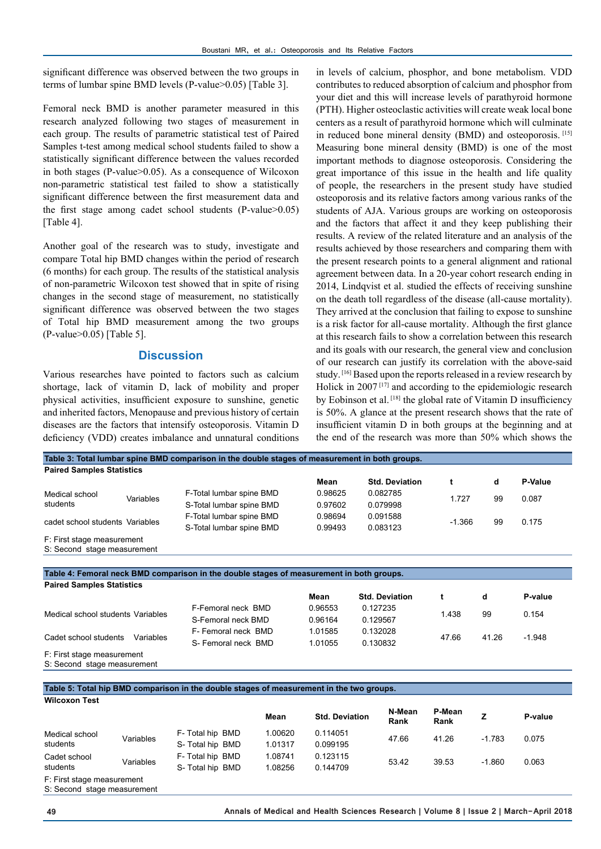significant difference was observed between the two groups in terms of lumbar spine BMD levels (P-value>0.05) [Table 3].

Femoral neck BMD is another parameter measured in this research analyzed following two stages of measurement in each group. The results of parametric statistical test of Paired Samples t-test among medical school students failed to show a statistically significant difference between the values recorded in both stages (P-value>0.05). As a consequence of Wilcoxon non-parametric statistical test failed to show a statistically significant difference between the first measurement data and the first stage among cadet school students (P-value>0.05) [Table 4].

Another goal of the research was to study, investigate and compare Total hip BMD changes within the period of research (6 months) for each group. The results of the statistical analysis of non-parametric Wilcoxon test showed that in spite of rising changes in the second stage of measurement, no statistically significant difference was observed between the two stages of Total hip BMD measurement among the two groups (P-value>0.05) [Table 5].

#### **Discussion**

Various researches have pointed to factors such as calcium shortage, lack of vitamin D, lack of mobility and proper physical activities, insufficient exposure to sunshine, genetic and inherited factors, Menopause and previous history of certain diseases are the factors that intensify osteoporosis. Vitamin D deficiency (VDD) creates imbalance and unnatural conditions

in levels of calcium, phosphor, and bone metabolism. VDD contributes to reduced absorption of calcium and phosphor from your diet and this will increase levels of parathyroid hormone (PTH). Higher osteoclastic activities will create weak local bone centers as a result of parathyroid hormone which will culminate in reduced bone mineral density (BMD) and osteoporosis. [15] Measuring bone mineral density (BMD) is one of the most important methods to diagnose osteoporosis. Considering the great importance of this issue in the health and life quality of people, the researchers in the present study have studied osteoporosis and its relative factors among various ranks of the students of AJA. Various groups are working on osteoporosis and the factors that affect it and they keep publishing their results. A review of the related literature and an analysis of the results achieved by those researchers and comparing them with the present research points to a general alignment and rational agreement between data. In a 20-year cohort research ending in 2014, Lindqvist et al. studied the effects of receiving sunshine on the death toll regardless of the disease (all-cause mortality). They arrived at the conclusion that failing to expose to sunshine is a risk factor for all-cause mortality. Although the first glance at this research fails to show a correlation between this research and its goals with our research, the general view and conclusion of our research can justify its correlation with the above-said study. [16] Based upon the reports released in a review research by Holick in 2007<sup>[17]</sup> and according to the epidemiologic research by Eobinson et al. [18] the global rate of Vitamin D insufficiency is 50%. A glance at the present research shows that the rate of insufficient vitamin D in both groups at the beginning and at the end of the research was more than 50% which shows the

| Table 3: Total lumbar spine BMD comparison in the double stages of measurement in both groups. |                                                                                          |         |                       |          |    |                |  |  |
|------------------------------------------------------------------------------------------------|------------------------------------------------------------------------------------------|---------|-----------------------|----------|----|----------------|--|--|
| <b>Paired Samples Statistics</b>                                                               |                                                                                          |         |                       |          |    |                |  |  |
|                                                                                                |                                                                                          | Mean    | <b>Std. Deviation</b> |          | d  | <b>P-Value</b> |  |  |
| Medical school                                                                                 | F-Total lumbar spine BMD                                                                 | 0.98625 | 0.082785              |          | 99 | 0.087          |  |  |
| Variables<br>students                                                                          | S-Total lumbar spine BMD                                                                 | 0.97602 | 0.079998              | 1.727    |    |                |  |  |
|                                                                                                | F-Total lumbar spine BMD                                                                 | 0.98694 | 0.091588              |          | 99 | 0.175          |  |  |
| cadet school students Variables                                                                | S-Total lumbar spine BMD                                                                 | 0.99493 | 0.083123              | $-1.366$ |    |                |  |  |
| F: First stage measurement                                                                     |                                                                                          |         |                       |          |    |                |  |  |
| S: Second stage measurement                                                                    |                                                                                          |         |                       |          |    |                |  |  |
|                                                                                                |                                                                                          |         |                       |          |    |                |  |  |
|                                                                                                | Table 4: Femoral neck BMD comparison in the double stages of measurement in both groups. |         |                       |          |    |                |  |  |
| Daired Camples Statistics                                                                      |                                                                                          |         |                       |          |    |                |  |  |

| $\sim$ an our barriers beaution or                        |                     |         |                       |       |       |          |  |
|-----------------------------------------------------------|---------------------|---------|-----------------------|-------|-------|----------|--|
|                                                           |                     | Mean    | <b>Std. Deviation</b> |       |       | P-value  |  |
| Medical school students Variables                         | F-Femoral neck BMD  | 0.96553 | 0.127235              | 1.438 | 99    | 0.154    |  |
|                                                           | S-Femoral neck BMD  | 0.96164 | 0.129567              |       |       |          |  |
|                                                           | F- Femoral neck BMD | 1.01585 | 0.132028              |       | 41.26 |          |  |
| Cadet school students<br>Variables                        | S-Femoral neck BMD  | 1.01055 | 0.130832              | 47.66 |       | $-1.948$ |  |
| F: First stage measurement<br>S: Second stage measurement |                     |         |                       |       |       |          |  |

**Table 5: Total hip BMD comparison in the double stages of measurement in the two groups. Wilcoxon Test**

|                                                           |           |                  | Mean    | <b>Std. Deviation</b> | N-Mean<br>Rank | P-Mean<br>Rank |          | P-value |
|-----------------------------------------------------------|-----------|------------------|---------|-----------------------|----------------|----------------|----------|---------|
| Medical school                                            | Variables | F- Total hip BMD | 1.00620 | 0.114051              | 47.66          | 41.26          | $-1.783$ | 0.075   |
| students                                                  |           | S- Total hip BMD | 1.01317 | 0.099195              |                |                |          |         |
| Cadet school                                              | Variables | F- Total hip BMD | 1.08741 | 0.123115              | 53.42          | 39.53          | $-1.860$ | 0.063   |
| students                                                  |           | S- Total hip BMD | 1.08256 | 0.144709              |                |                |          |         |
| F: First stage measurement<br>S: Second stage measurement |           |                  |         |                       |                |                |          |         |